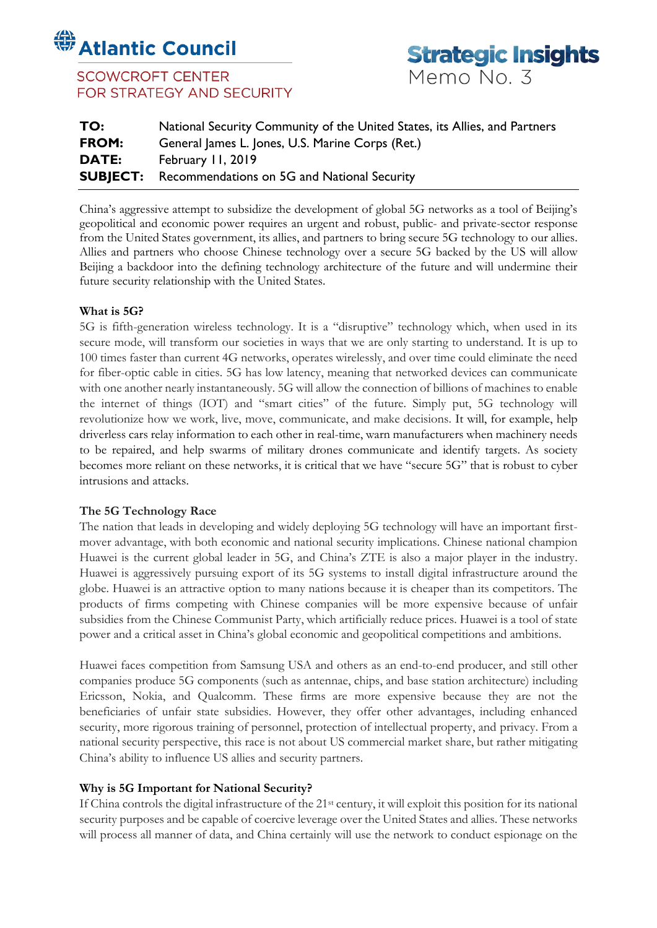# **Standard Council**

## **SCOWCROFT CENTER** FOR STRATEGY AND SECURITY



| TO:   | National Security Community of the United States, its Allies, and Partners |
|-------|----------------------------------------------------------------------------|
| FROM: | General James L. Jones, U.S. Marine Corps (Ret.)                           |
| DATE: | February II, 2019                                                          |
|       | <b>SUBJECT:</b> Recommendations on 5G and National Security                |

China's aggressive attempt to subsidize the development of global 5G networks as a tool of Beijing's geopolitical and economic power requires an urgent and robust, public- and private-sector response from the United States government, its allies, and partners to bring secure 5G technology to our allies. Allies and partners who choose Chinese technology over a secure 5G backed by the US will allow Beijing a backdoor into the defining technology architecture of the future and will undermine their future security relationship with the United States.

#### **What is 5G?**

5G is fifth-generation wireless technology. It is a "disruptive" technology which, when used in its secure mode, will transform our societies in ways that we are only starting to understand. It is up to 100 times faster than current 4G networks, operates wirelessly, and over time could eliminate the need for fiber-optic cable in cities. 5G has low latency, meaning that networked devices can communicate with one another nearly instantaneously. 5G will allow the connection of billions of machines to enable the internet of things (IOT) and "smart cities" of the future. Simply put, 5G technology will revolutionize how we work, live, move, communicate, and make decisions. It will, for example, help driverless cars relay information to each other in real-time, warn manufacturers when machinery needs to be repaired, and help swarms of military drones communicate and identify targets. As society becomes more reliant on these networks, it is critical that we have "secure 5G" that is robust to cyber intrusions and attacks.

### **The 5G Technology Race**

The nation that leads in developing and widely deploying 5G technology will have an important firstmover advantage, with both economic and national security implications. Chinese national champion Huawei is the current global leader in 5G, and China's ZTE is also a major player in the industry. Huawei is aggressively pursuing export of its 5G systems to install digital infrastructure around the globe. Huawei is an attractive option to many nations because it is cheaper than its competitors. The products of firms competing with Chinese companies will be more expensive because of unfair subsidies from the Chinese Communist Party, which artificially reduce prices. Huawei is a tool of state power and a critical asset in China's global economic and geopolitical competitions and ambitions.

Huawei faces competition from Samsung USA and others as an end-to-end producer, and still other companies produce 5G components (such as antennae, chips, and base station architecture) including Ericsson, Nokia, and Qualcomm. These firms are more expensive because they are not the beneficiaries of unfair state subsidies. However, they offer other advantages, including enhanced security, more rigorous training of personnel, protection of intellectual property, and privacy. From a national security perspective, this race is not about US commercial market share, but rather mitigating China's ability to influence US allies and security partners.

### **Why is 5G Important for National Security?**

If China controls the digital infrastructure of the 21st century, it will exploit this position for its national security purposes and be capable of coercive leverage over the United States and allies. These networks will process all manner of data, and China certainly will use the network to conduct espionage on the